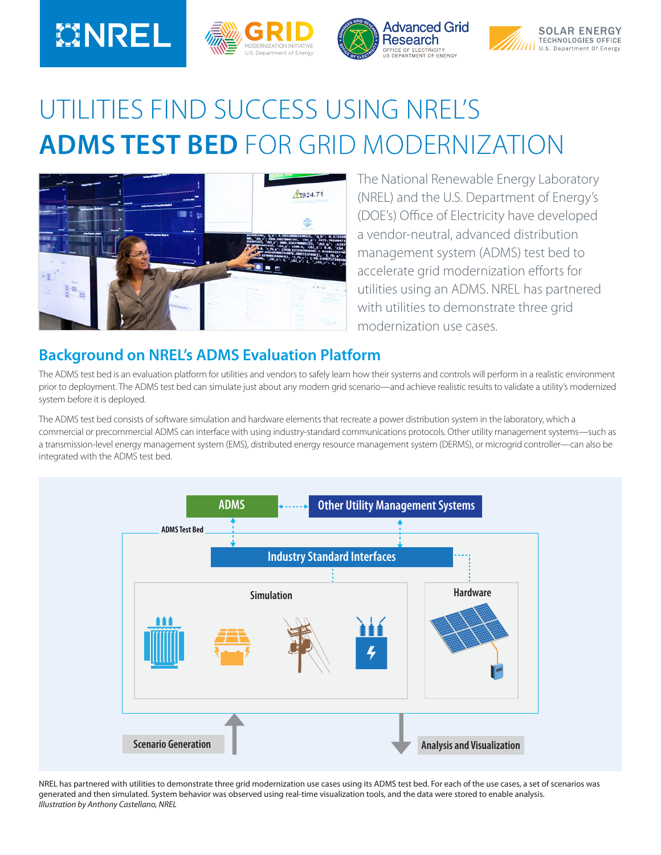# **MINREL**







## UTILITIES FIND SUCCESS USING NREL'S **ADMS TEST BED** FOR GRID MODERNIZATION



The National Renewable Energy Laboratory (NREL) and the U.S. Department of Energy's (DOE's) Office of Electricity have developed a vendor-neutral, advanced distribution management system (ADMS) test bed to accelerate grid modernization efforts for utilities using an ADMS. NREL has partnered with utilities to demonstrate three grid modernization use cases.

### **Background on NREL's ADMS Evaluation Platform**

The ADMS test bed is an evaluation platform for utilities and vendors to safely learn how their systems and controls will perform in a realistic environment prior to deployment. The ADMS test bed can simulate just about any modern grid scenario—and achieve realistic results to validate a utility's modernized system before it is deployed.

The ADMS test bed consists of software simulation and hardware elements that recreate a power distribution system in the laboratory, which a commercial or precommercial ADMS can interface with using industry-standard communications protocols. Other utility management systems—such as a transmission-level energy management system (EMS), distributed energy resource management system (DERMS), or microgrid controller—can also be integrated with the ADMS test bed.



NREL has partnered with utilities to demonstrate three grid modernization use cases using its ADMS test bed. For each of the use cases, a set of scenarios was generated and then simulated. System behavior was observed using real-time visualization tools, and the data were stored to enable analysis. *Illustration by Anthony Castellano, NREL*